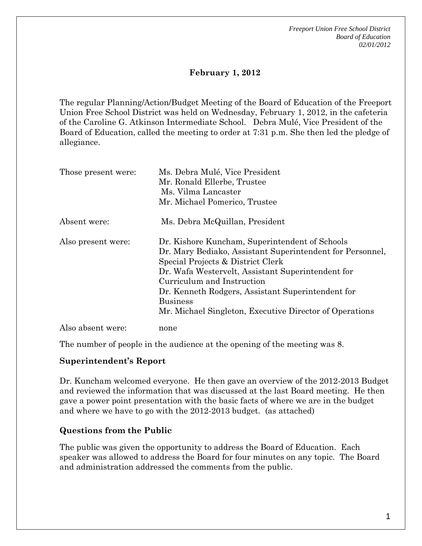*Freeport Union Free School District Board of Education 02/01/2012* 

# **February 1, 2012**

The regular Planning/Action/Budget Meeting of the Board of Education of the Freeport Union Free School District was held on Wednesday, February 1, 2012, in the cafeteria of the Caroline G. Atkinson Intermediate School. Debra Mulé, Vice President of the Board of Education, called the meeting to order at 7:31 p.m. She then led the pledge of allegiance.

| Those present were: | Ms. Debra Mulé, Vice President<br>Mr. Ronald Ellerbe, Trustee<br>Ms. Vilma Lancaster<br>Mr. Michael Pomerico, Trustee                                                                                                                                                                                                                                                  |
|---------------------|------------------------------------------------------------------------------------------------------------------------------------------------------------------------------------------------------------------------------------------------------------------------------------------------------------------------------------------------------------------------|
| Absent were:        | Ms. Debra McQuillan, President                                                                                                                                                                                                                                                                                                                                         |
| Also present were:  | Dr. Kishore Kuncham, Superintendent of Schools<br>Dr. Mary Bediako, Assistant Superintendent for Personnel,<br>Special Projects & District Clerk<br>Dr. Wafa Westervelt, Assistant Superintendent for<br>Curriculum and Instruction<br>Dr. Kenneth Rodgers, Assistant Superintendent for<br><b>Business</b><br>Mr. Michael Singleton, Executive Director of Operations |
| Also absent were:   | none                                                                                                                                                                                                                                                                                                                                                                   |

The number of people in the audience at the opening of the meeting was 8.

## **Superintendent's Report**

Dr. Kuncham welcomed everyone. He then gave an overview of the 2012-2013 Budget and reviewed the information that was discussed at the last Board meeting. He then gave a power point presentation with the basic facts of where we are in the budget and where we have to go with the 2012-2013 budget. (as attached)

## **Questions from the Public**

The public was given the opportunity to address the Board of Education. Each speaker was allowed to address the Board for four minutes on any topic. The Board and administration addressed the comments from the public.